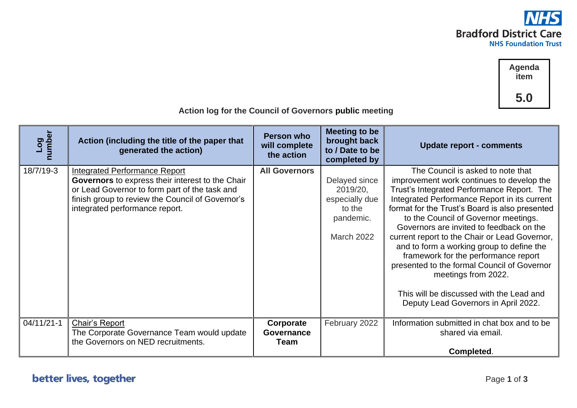

**Agenda item 5.0**

| J.V<br>Action log for the Council of Governors public meeting |                                                                                                                                                                                                                                 |                                                  |                                                                                         |                                                                                                                                                                                                                                                                                                                                                                                                                                                                                                                                                                                                                    |  |
|---------------------------------------------------------------|---------------------------------------------------------------------------------------------------------------------------------------------------------------------------------------------------------------------------------|--------------------------------------------------|-----------------------------------------------------------------------------------------|--------------------------------------------------------------------------------------------------------------------------------------------------------------------------------------------------------------------------------------------------------------------------------------------------------------------------------------------------------------------------------------------------------------------------------------------------------------------------------------------------------------------------------------------------------------------------------------------------------------------|--|
| Log<br>number                                                 | Action (including the title of the paper that<br>generated the action)                                                                                                                                                          | <b>Person who</b><br>will complete<br>the action | <b>Meeting to be</b><br>brought back<br>to / Date to be<br>completed by                 | <b>Update report - comments</b>                                                                                                                                                                                                                                                                                                                                                                                                                                                                                                                                                                                    |  |
| 18/7/19-3                                                     | <b>Integrated Performance Report</b><br>Governors to express their interest to the Chair<br>or Lead Governor to form part of the task and<br>finish group to review the Council of Governor's<br>integrated performance report. | <b>All Governors</b>                             | Delayed since<br>2019/20,<br>especially due<br>to the<br>pandemic.<br><b>March 2022</b> | The Council is asked to note that<br>improvement work continues to develop the<br>Trust's Integrated Performance Report. The<br>Integrated Performance Report in its current<br>format for the Trust's Board is also presented<br>to the Council of Governor meetings.<br>Governors are invited to feedback on the<br>current report to the Chair or Lead Governor,<br>and to form a working group to define the<br>framework for the performance report<br>presented to the formal Council of Governor<br>meetings from 2022.<br>This will be discussed with the Lead and<br>Deputy Lead Governors in April 2022. |  |
| $04/11/21-1$                                                  | Chair's Report<br>The Corporate Governance Team would update<br>the Governors on NED recruitments.                                                                                                                              | Corporate<br><b>Governance</b><br>Team           | February 2022                                                                           | Information submitted in chat box and to be<br>shared via email.<br>Completed.                                                                                                                                                                                                                                                                                                                                                                                                                                                                                                                                     |  |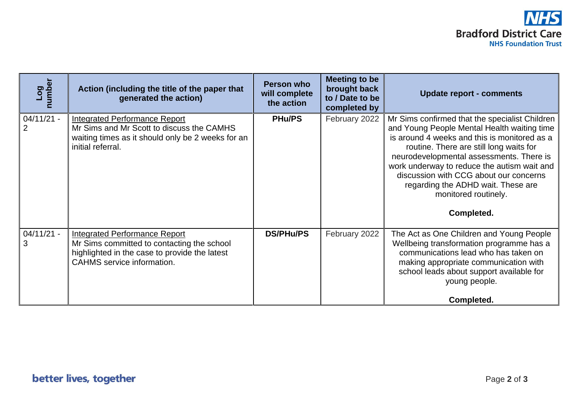| Log<br>number     | Action (including the title of the paper that<br>generated the action)                                                                                                   | Person who<br>will complete<br>the action | Meeting to be<br>brought back<br>to / Date to be<br>completed by | <b>Update report - comments</b>                                                                                                                                                                                                                                                                                                                                                                           |
|-------------------|--------------------------------------------------------------------------------------------------------------------------------------------------------------------------|-------------------------------------------|------------------------------------------------------------------|-----------------------------------------------------------------------------------------------------------------------------------------------------------------------------------------------------------------------------------------------------------------------------------------------------------------------------------------------------------------------------------------------------------|
| $04/11/21 -$<br>2 | <b>Integrated Performance Report</b><br>Mr Sims and Mr Scott to discuss the CAMHS<br>waiting times as it should only be 2 weeks for an<br>initial referral.              | <b>PHu/PS</b>                             | February 2022                                                    | Mr Sims confirmed that the specialist Children<br>and Young People Mental Health waiting time<br>is around 4 weeks and this is monitored as a<br>routine. There are still long waits for<br>neurodevelopmental assessments. There is<br>work underway to reduce the autism wait and<br>discussion with CCG about our concerns<br>regarding the ADHD wait. These are<br>monitored routinely.<br>Completed. |
| $04/11/21 -$<br>3 | <b>Integrated Performance Report</b><br>Mr Sims committed to contacting the school<br>highlighted in the case to provide the latest<br><b>CAHMS</b> service information. | <b>DS/PHu/PS</b>                          | February 2022                                                    | The Act as One Children and Young People<br>Wellbeing transformation programme has a<br>communications lead who has taken on<br>making appropriate communication with<br>school leads about support available for<br>young people.<br>Completed.                                                                                                                                                          |